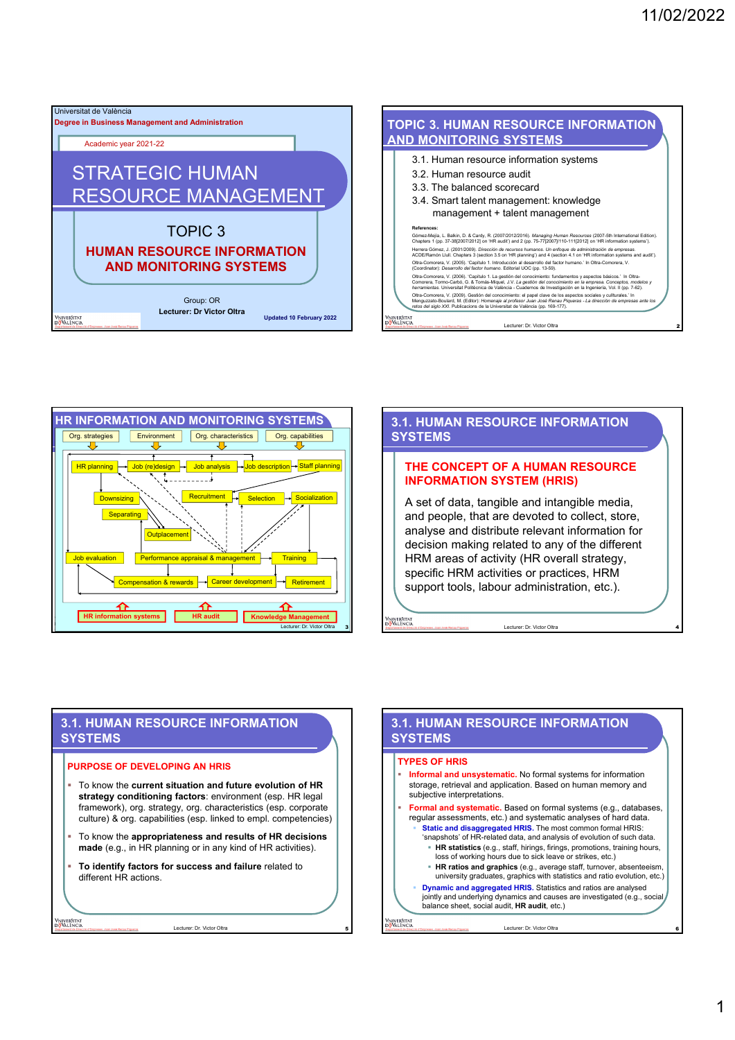



# **3.1. HUMAN RESOURCE INFORMATION SYSTEMS**

### **THE CONCEPT OF A HUMAN RESOURCE INFORMATION SYSTEM (HRIS)**

A set of data, tangible and intangible media, and people, that are devoted to collect, store, analyse and distribute relevant information for decision making related to any of the different HRM areas of activity (HR overall strategy, specific HRM activities or practices, HRM support tools, labour administration, etc.).

Lecturer: Dr. Victor Oltra 4

## **3.1. HUMAN RESOURCE INFORMATION SYSTEMS**

### **PURPOSE OF DEVELOPING AN HRIS**

.<br>vniver§itat<br>d<mark>ö</mark>València

- To know the **current situation and future evolution of HR strategy conditioning factors**: environment (esp. HR legal framework), org. strategy, org. characteristics (esp. corporate culture) & org. capabilities (esp. linked to empl. competencies)
- To know the **appropriateness and results of HR decisions made** (e.g., in HR planning or in any kind of HR activities).
- **To identify factors for success and failure** related to different HR actions.

Lecturer: Dr. Victor Oltra 5

### **3.1. HUMAN RESOURCE INFORMATION SYSTEMS**

#### **TYPES OF HRIS**

**VNIVERSITAT**<br>IDÖVALÈNCIA

 **Informal and unsystematic.** No formal systems for information storage, retrieval and application. Based on human memory and subjective interpretations. **Formal and systematic.** Based on formal systems (e.g., databases, regular assessments, etc.) and systematic analyses of hard data. **Static and disaggregated HRIS.** The most common formal HRIS: 'snapshots' of HR-related data, and analysis of evolution of such data. **HR statistics** (e.g., staff, hirings, firings, promotions, training hours, loss of working hours due to sick leave or strikes, etc.) **HR ratios and graphics** (e.g., average staff, turnover, absenteeism, university graduates, graphics with statistics and ratio evolution, etc.) **Dynamic and aggregated HRIS.** Statistics and ratios are analysed jointly and underlying dynamics and causes are investigated (e.g., social balance sheet, social audit, **HR audit**, etc.) /niver§itat<br>d<mark>ő</mark>València Lecturer: Dr. Victor Oltra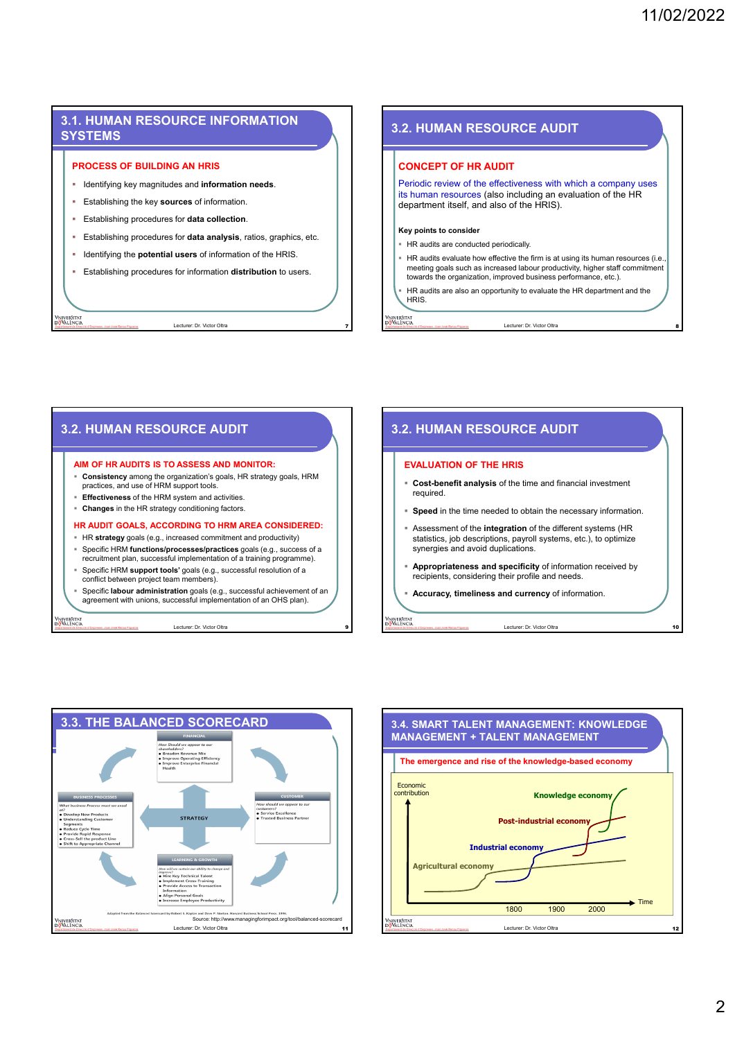# **3.1. HUMAN RESOURCE INFORMATION SYSTEMS**

### **PROCESS OF BUILDING AN HRIS**

- **IDENTIFY 19 IDENTIFY 10 IS NOTEN IS NOTEN IS NOTEN IS A LOCAL THE UPPER IS NOTEN IS NOTEN IS NOTEN.**
- Establishing the key **sources** of information.
- Establishing procedures for **data collection**.
- Establishing procedures for **data analysis**, ratios, graphics, etc.
- **IDENTIFY IDENT IS A LOCAL THE POTENTIAL USERS** of information of the HRIS.
- Establishing procedures for information **distribution** to users.

Lecturer: Dr. Victor Oltra 7

niveršitat<br><mark>A</mark>València

.<br>Vniveršitat<br>idišValēncia

### **3.2. HUMAN RESOURCE AUDIT**

#### **CONCEPT OF HR AUDIT**

Periodic review of the effectiveness with which a company uses its human resources (also including an evaluation of the HR department itself, and also of the HRIS).

#### **Key points to consider**

- **HR audits are conducted periodically.**
- HR audits evaluate how effective the firm is at using its human resources (i.e., meeting goals such as increased labour productivity, higher staff commitment towards the organization, improved business performance, etc.).

Lecturer: Dr. Victor Oltra

 HR audits are also an opportunity to evaluate the HR department and the **HRIS** 

niveršitat<br><mark>8</mark> València

**VNIVERSITAT**<br>IDÖVALÈNCIA

# **AIM OF HR AUDITS IS TO ASSESS AND MONITOR: Consistency** among the organization's goals, HR strategy goals, HRM practices, and use of HRM support tools. **Effectiveness** of the HRM system and activities.

**3.2. HUMAN RESOURCE AUDIT**

**Changes** in the HR strategy conditioning factors.

### **HR AUDIT GOALS, ACCORDING TO HRM AREA CONSIDERED:**

- HR **strategy** goals (e.g., increased commitment and productivity) Specific HRM **functions/processes/practices** goals (e.g., success of a
- recruitment plan, successful implementation of a training programme).
- Specific HRM **support tools'** goals (e.g., successful resolution of a conflict between project team members).
- Specific **labour administration** goals (e.g., successful achievement of an agreement with unions, successful implementation of an OHS plan).

Lecturer: Dr. Victor Oltra 9

# **3.2. HUMAN RESOURCE AUDIT**

### **EVALUATION OF THE HRIS**

- **Cost-benefit analysis** of the time and financial investment required.
- **Speed** in the time needed to obtain the necessary information
- Assessment of the **integration** of the different systems (HR statistics, job descriptions, payroll systems, etc.), to optimize synergies and avoid duplications.
- **Appropriateness and specificity** of information received by recipients, considering their profile and needs.

Lecturer: Dr. Victor Oltra

**Accuracy, timeliness and currency** of information.



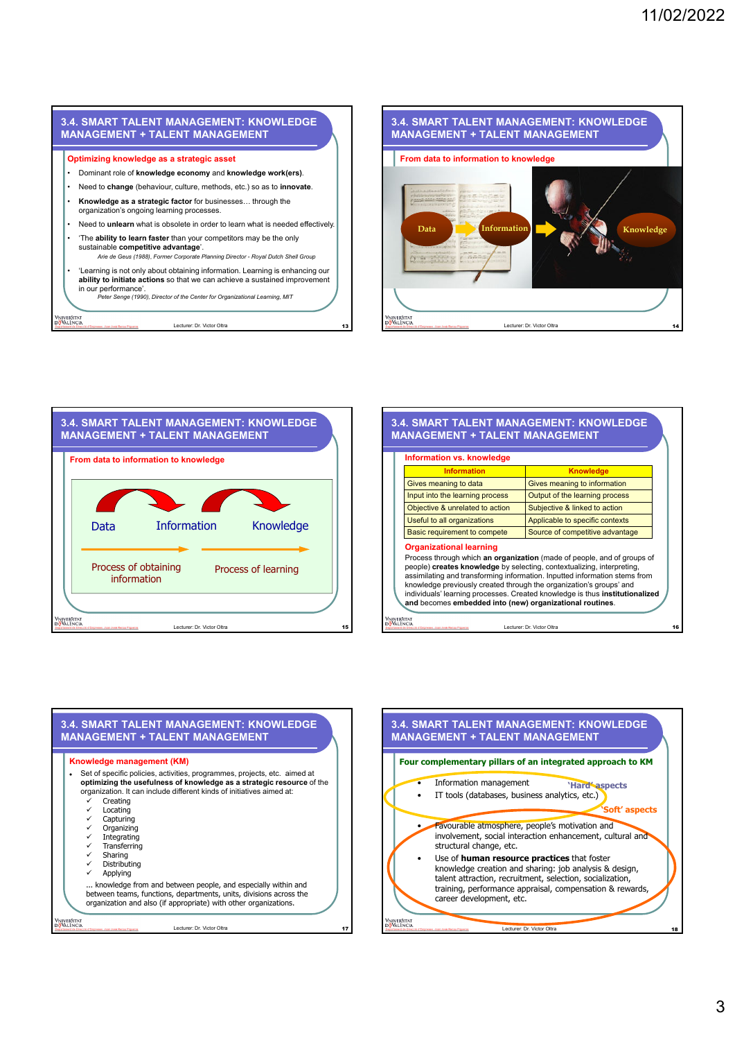





Lecturer: Dr. Victor Oltra

niver§itat<br><mark>ö</mark>València

| Information vs. knowledge       |                                                                                                                                                                                                                                                                                                                                                                                        |
|---------------------------------|----------------------------------------------------------------------------------------------------------------------------------------------------------------------------------------------------------------------------------------------------------------------------------------------------------------------------------------------------------------------------------------|
| <b>Information</b>              | <b>Knowledge</b>                                                                                                                                                                                                                                                                                                                                                                       |
| Gives meaning to data           | Gives meaning to information                                                                                                                                                                                                                                                                                                                                                           |
| Input into the learning process | Output of the learning process                                                                                                                                                                                                                                                                                                                                                         |
| Objective & unrelated to action | Subjective & linked to action                                                                                                                                                                                                                                                                                                                                                          |
| Useful to all organizations     | Applicable to specific contexts                                                                                                                                                                                                                                                                                                                                                        |
| Basic requirement to compete    | Source of competitive advantage                                                                                                                                                                                                                                                                                                                                                        |
| <b>Organizational learning</b>  | Process through which an organization (made of people, and of groups of<br>people) creates knowledge by selecting, contextualizing, interpreting,<br>assimilating and transforming information. Inputted information stems from<br>knowledge previously created through the organization's groups' and<br>individuals' learning processes. Created knowledge is thus institutionalized |